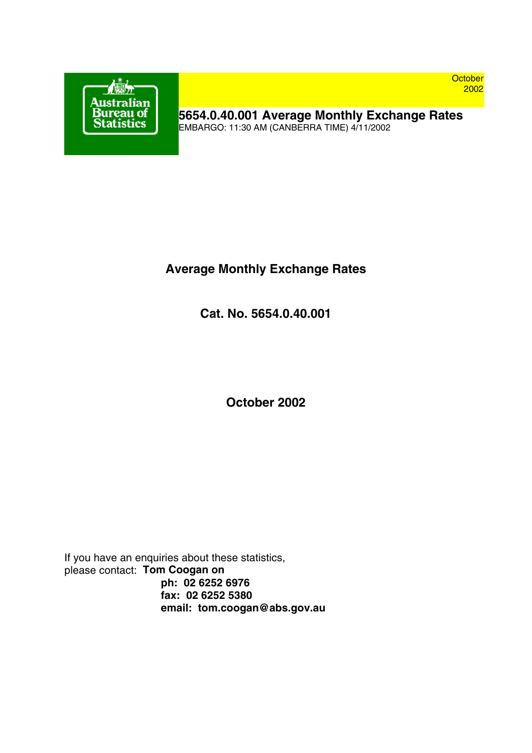

**October** 2002

**5654.0.40.001 Average Monthly Exchange Rates** EMBARGO: 11:30 AM (CANBERRA TIME) 4/11/2002

# **Average Monthly Exchange Rates**

**Cat. No. 5654.0.40.001**

**October 2002**

If you have an enquiries about these statistics, please contact: **Tom Coogan on ph: 02 6252 6976 fax: 02 6252 5380 email: tom.coogan@abs.gov.au**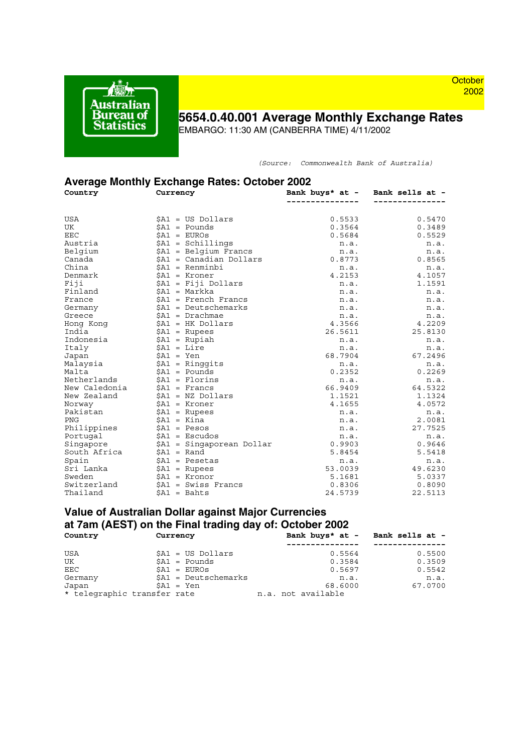

### **October** 2002

# **5654.0.40.001 Average Monthly Exchange Rates**

EMBARGO: 11:30 AM (CANBERRA TIME) 4/11/2002

*(Source: Commonwealth Bank of Australia)*

| <b>Average Monthly Exchange Rates: October 2002</b> |                                   |                |                                 |  |  |
|-----------------------------------------------------|-----------------------------------|----------------|---------------------------------|--|--|
| Country                                             | Currency                          |                | Bank buys* at - Bank sells at - |  |  |
|                                                     |                                   | -------------- | ------------                    |  |  |
| <b>USA</b>                                          | $$A1 = US Dollars$                | 0.5533         | 0.5470                          |  |  |
| UK                                                  | $$A1 = Pounds$                    | 0.3564         | 0.3489                          |  |  |
| EEC                                                 | $$AI = EUROS$                     | 0.5684         | 0.5529                          |  |  |
| Austria                                             | $$AI = Schillings$                | n.a.           | n.a.                            |  |  |
| Belgium                                             | $$A1 = Belqium Frances$           | n.a.           | n.a.                            |  |  |
| Canada                                              | $\texttt{SA1}$ = Canadian Dollars | 0.8773         | 0.8565                          |  |  |
| China                                               | $SA1 = Renminbi$                  | n.a.           | n.a.                            |  |  |
| Denmark                                             | $$AI = Kroner$                    | 4.2153         | 4.1057                          |  |  |
| Fiji                                                | \$A1 = Fiji Dollars               | n.a.           | 1.1591                          |  |  |
| Finland                                             | $$A1 = Markka$                    | n.a.           | n.a.                            |  |  |
| France                                              | $$A1$ = French Francs             | n.a.           | n.a.                            |  |  |
| Germany                                             | $$A1 = Deutschemarks$             | n.a.           | n.a.                            |  |  |
| Greece                                              | $$A1 = Drachmae$                  | n.a.           | n.a.                            |  |  |
| Hong Kong                                           | $$A1$ = HK Dollars                | 4.3566         | 4.2209                          |  |  |
| India                                               | $$AI = Rupees$                    | 26.5611        | 25.8130                         |  |  |
| Indonesia                                           | $$A1 = Rupiah$                    | n.a.           | n.a.                            |  |  |
| Italy                                               | $$A1 = Lire$                      | n.a.           | n.a.                            |  |  |
| Japan                                               | $$A1 = Yen$                       | 68.7904        | 67.2496                         |  |  |
| Malaysia                                            | $$A1 = Ringqits$                  | n.a.           | n.a.                            |  |  |
| Malta                                               | $$A1 = Pounds$                    | 0.2352         | 0.2269                          |  |  |
| Netherlands                                         | $$A1 = Florins$                   | n.a.           | n.a.                            |  |  |
| New Caledonia                                       | $SAI =$ Francs                    | 66.9409        | 64.5322                         |  |  |
| New Zealand                                         | $$A1 = NZ Dollars$                | 1.1521         | 1.1324                          |  |  |
| Norway                                              | $$A1 = Kroner$                    | 4.1655         | 4.0572                          |  |  |
| Pakistan                                            | $$A1 = Rupees$                    | n.a.           | n.a.                            |  |  |
| PNG                                                 | \$A1 = Kina                       | n.a.           | 2.0081                          |  |  |
| Philippines                                         | $$A1 = Pesos$                     | n.a.           | 27.7525                         |  |  |
| Portugal                                            | $$A1 = Escudos$                   | n.a.           | n.a.                            |  |  |
| Singapore                                           | \$A1 = Singaporean Dollar         | 0.9903         | 0.9646                          |  |  |
| South Africa                                        | $$A1 = Rand$                      | 5.8454         | 5.5418                          |  |  |
| Spain                                               | $$A1 = Pesetas$                   | n.a.           | n.a.                            |  |  |
| Sri Lanka                                           | $$AI = Rupees$                    | 53.0039        | 49.6230                         |  |  |
| Sweden                                              | $$A1 = Kronor$                    | 5.1681         | 5.0337                          |  |  |
| Switzerland                                         | $SA1 = Swiss$ Francs              | 0.8306         | 0.8090                          |  |  |
| Thailand                                            | $$A1 = Bahts$                     | 24.5739        | 22.5113                         |  |  |

#### **Value of Australian Dollar against Major Currencies at 7am (AEST) on the Final trading day of: October 2002 Country Currency Bank buys\* at - Bank sells at -**

|            | .                           |                    | <u> Dunn Dufb uc Dunn boile dc</u> |
|------------|-----------------------------|--------------------|------------------------------------|
|            |                             |                    |                                    |
| <b>USA</b> | $$A1 = US Dollars$          | 0.5564             | 0.5500                             |
| UK         | $SAI = Pounds$              | 0.3584             | 0.3509                             |
| EEC        | $SAI = EUROS$               | 0.5697             | 0.5542                             |
| Germany    | $$A1 = Deutschemarks$       | n.a.               | n.a.                               |
| Japan      | $SA1 = Yen$                 | 68.6000            | 67.0700                            |
|            | * telegraphic transfer rate | n.a. not available |                                    |